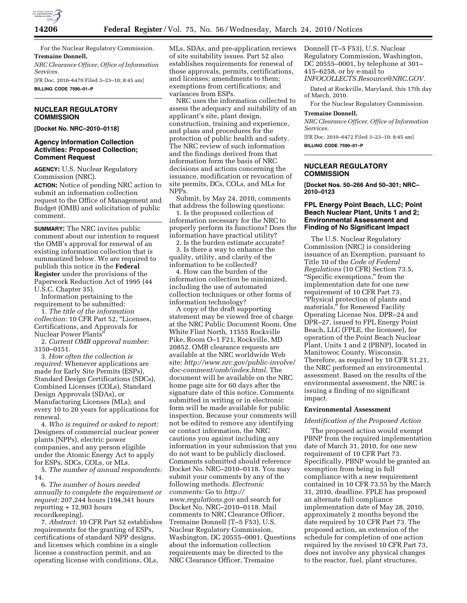

For the Nuclear Regulatory Commission. **Tremaine Donnell,** 

*NRC Clearance Officer, Office of Information Services.* 

[FR Doc. 2010–6470 Filed 3–23–10; 8:45 am] **BILLING CODE 7590–01–P** 

# **NUCLEAR REGULATORY COMMISSION**

**[Docket No. NRC–2010–0118]** 

## **Agency Information Collection Activities: Proposed Collection; Comment Request**

**AGENCY:** U.S. Nuclear Regulatory Commission (NRC).

**ACTION:** Notice of pending NRC action to submit an information collection request to the Office of Management and Budget (OMB) and solicitation of public comment.

**SUMMARY:** The NRC invites public comment about our intention to request the OMB's approval for renewal of an existing information collection that is summarized below. We are required to publish this notice in the **Federal Register** under the provisions of the Paperwork Reduction Act of 1995 (44 U.S.C. Chapter 35).

Information pertaining to the requirement to be submitted:

1. *The title of the information collection:* 10 CFR Part 52, ''Licenses, Certifications, and Approvals for Nuclear Power Plants''

2. *Current OMB approval number:*  3150–0151.

3. *How often the collection is required:* Whenever applications are made for Early Site Permits (ESPs), Standard Design Certifications (SDCs), Combined Licenses (COLs), Standard Design Approvals (SDAs), or Manufacturing Licenses (MLs); and every 10 to 20 years for applications for renewal.

4. *Who is required or asked to report:*  Designers of commercial nuclear power plants (NPPs), electric power companies, and any person eligible under the Atomic Energy Act to apply for ESPs, SDCs, COLs, or MLs.

5. *The number of annual respondents:*  14.

6. *The number of hours needed annually to complete the requirement or request:* 207,244 hours (194,341 hours reporting + 12,903 hours recordkeeping).

7. *Abstract:* 10 CFR Part 52 establishes requirements for the granting of ESPs, certifications of standard NPP designs, and licenses which combine in a single license a construction permit, and an operating license with conditions, OLs,

MLs, SDAs, and pre-application reviews of site suitability issues. Part 52 also establishes requirements for renewal of those approvals, permits, certifications, and licenses; amendments to them; exemptions from certifications; and variances from ESPs.

NRC uses the information collected to assess the adequacy and suitability of an applicant's site, plant design, construction, training and experience, and plans and procedures for the protection of public health and safety. The NRC review of such information and the findings derived from that information form the basis of NRC decisions and actions concerning the issuance, modification or revocation of site permits, DCs, COLs, and MLs for NPPs.

Submit, by May 24, 2010, comments that address the following questions:

1. Is the proposed collection of information necessary for the NRC to properly perform its functions? Does the information have practical utility?

2. Is the burden estimate accurate? 3. Is there a way to enhance the quality, utility, and clarity of the information to be collected?

4. How can the burden of the information collection be minimized, including the use of automated collection techniques or other forms of information technology?

A copy of the draft supporting statement may be viewed free of charge at the NRC Public Document Room, One White Flint North, 11555 Rockville Pike, Room O–1 F21, Rockville, MD 20852. OMB clearance requests are available at the NRC worldwide Web site: *http://www.nrc.gov/public-involve/ doc-comment/omb/index.html.* The document will be available on the NRC home page site for 60 days after the signature date of this notice. Comments submitted in writing or in electronic form will be made available for public inspection. Because your comments will not be edited to remove any identifying or contact information, the NRC cautions you against including any information in your submission that you do not want to be publicly disclosed. Comments submitted should reference Docket No. NRC–2010–0118. You may submit your comments by any of the following methods. *Electronic comments:* Go to *http:// www.regulations.gov* and search for Docket No. NRC–2010–0118. Mail comments to NRC Clearance Officer, Tremaine Donnell (T–5 F53), U.S. Nuclear Regulatory Commission, Washington, DC 20555–0001. Questions about the information collection requirements may be directed to the NRC Clearance Officer, Tremaine

Donnell (T–5 F53), U.S. Nuclear Regulatory Commission, Washington, DC 20555–0001, by telephone at 301– 415–6258, or by e-mail to *INFOCOLLECTS.Resource@NRC.GOV.* 

Dated at Rockville, Maryland, this 17th day of March, 2010.

For the Nuclear Regulatory Commission.

# **Tremaine Donnell,**

*NRC Clearance Officer, Office of Information Services.* 

[FR Doc. 2010–6472 Filed 3–23–10; 8:45 am] **BILLING CODE 7590–01–P** 

## **NUCLEAR REGULATORY COMMISSION**

**[Docket Nos. 50–266 And 50–301; NRC– 2010–0123** 

## **FPL Energy Point Beach, LLC; Point Beach Nuclear Plant, Units 1 and 2; Environmental Assessment and Finding of No Significant Impact**

The U.S. Nuclear Regulatory Commission (NRC) is considering issuance of an Exemption, pursuant to Title 10 of the *Code of Federal Regulations* (10 CFR) Section 73.5, ''Specific exemptions,'' from the implementation date for one new requirement of 10 CFR Part 73, ''Physical protection of plants and materials,'' for Renewed Facility Operating License Nos. DPR–24 and DPR–27, issued to FPL Energy Point Beach, LLC (FPLE, the licensee), for operation of the Point Beach Nuclear Plant, Units 1 and 2 (PBNP), located in Manitowoc County, Wisconsin. Therefore, as required by 10 CFR 51.21, the NRC performed an environmental assessment. Based on the results of the environmental assessment, the NRC is issuing a finding of no significant impact.

# **Environmental Assessment**

### *Identification of the Proposed Action*

The proposed action would exempt PBNP from the required implementation date of March 31, 2010, for one new requirement of 10 CFR Part 73. Specifically, PBNP would be granted an exemption from being in full compliance with a new requirement contained in 10 CFR 73.55 by the March 31, 2010, deadline. FPLE has proposed an alternate full compliance implementation date of May 28, 2010, approximately 2 months beyond the date required by 10 CFR Part 73. The proposed action, an extension of the schedule for completion of one action required by the revised 10 CFR Part 73, does not involve any physical changes to the reactor, fuel, plant structures,